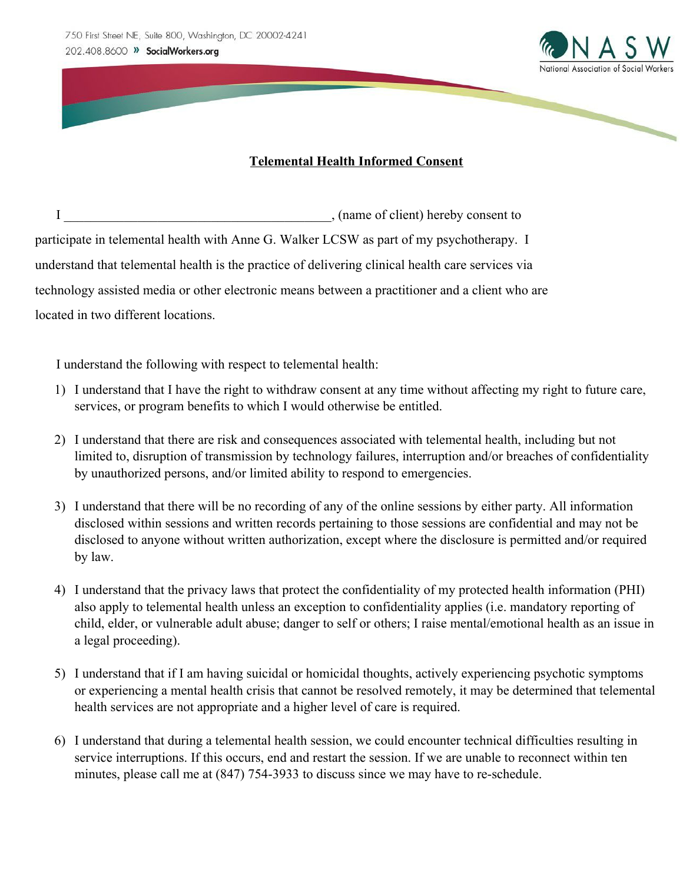

**Contractor** 

## **Telemental Health Informed Consent**

I can also a local contract  $\Gamma$ , (name of client) hereby consent to participate in telemental health with Anne G. Walker LCSW as part of my psychotherapy. I understand that telemental health is the practice of delivering clinical health care services via technology assisted media or other electronic means between a practitioner and a client who are located in two different locations.

I understand the following with respect to telemental health:

- 1) I understand that I have the right to withdraw consent at any time without affecting my right to future care, services, or program benefits to which I would otherwise be entitled.
- 2) I understand that there are risk and consequences associated with telemental health, including but not limited to, disruption of transmission by technology failures, interruption and/or breaches of confidentiality by unauthorized persons, and/or limited ability to respond to emergencies.
- 3) I understand that there will be no recording of any of the online sessions by either party. All information disclosed within sessions and written records pertaining to those sessions are confidential and may not be disclosed to anyone without written authorization, except where the disclosure is permitted and/or required by law.
- 4) I understand that the privacy laws that protect the confidentiality of my protected health information (PHI) also apply to telemental health unless an exception to confidentiality applies (i.e. mandatory reporting of child, elder, or vulnerable adult abuse; danger to self or others; I raise mental/emotional health as an issue in a legal proceeding).
- 5) I understand that if I am having suicidal or homicidal thoughts, actively experiencing psychotic symptoms or experiencing a mental health crisis that cannot be resolved remotely, it may be determined that telemental health services are not appropriate and a higher level of care is required.
- 6) I understand that during a telemental health session, we could encounter technical difficulties resulting in service interruptions. If this occurs, end and restart the session. If we are unable to reconnect within ten minutes, please call me at (847) 754-3933 to discuss since we may have to re-schedule.